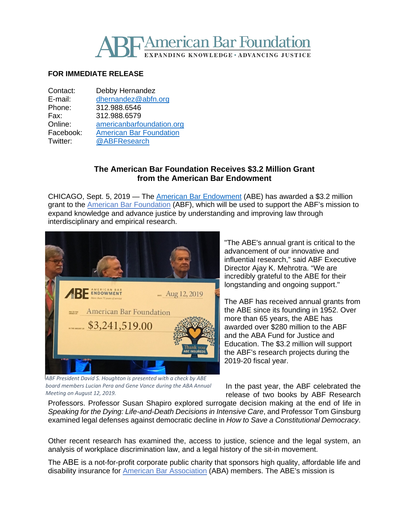

## **FOR IMMEDIATE RELEASE**

| Contact:  | Debby Hernandez                |
|-----------|--------------------------------|
| E-mail:   | dhernandez@abfn.org            |
| Phone:    | 312.988.6546                   |
| Fax:      | 312.988.6579                   |
| Online:   | americanbarfoundation.org      |
| Facebook: | <b>American Bar Foundation</b> |
| Twitter:  | @ABFResearch                   |
|           |                                |

## **The American Bar Foundation Receives \$3.2 Million Grant from the American Bar Endowment**

CHICAGO, Sept. 5, 2019 — The American Bar [Endowment](http://www.abendowment.org/) (ABE) has awarded a \$3.2 million grant to the **American Bar [Foundation](http://www.americanbarfoundation.org/index.html)** (ABF), which will be used to support the ABF's mission to expand knowledge and advance justice by understanding and improving law through interdisciplinary and empirical research.



"The ABE's annual grant is critical to the advancement of our innovative and influential research," said ABF Executive Director Ajay K. Mehrotra. "We are incredibly grateful to the ABE for their longstanding and ongoing support."

The ABF has received annual grants from the ABE since its founding in 1952. Over more than 65 years, the ABE has awarded over \$280 million to the ABF and the ABA Fund for Justice and Education. The \$3.2 million will support the ABF's research projects during the 2019-20 fiscal year.

*ABF President David S. Houghton is presented with a check by ABE board members Lucian Pera and Gene Vance during the ABA Annual Meeting on August 12, 2019.*

In the past year, the ABF celebrated the release of two books by ABF Research

Professors. Professor Susan Shapiro explored surrogate decision making at the end of life in *Speaking for the Dying: Life-and-Death Decisions in Intensive Care*, and Professor Tom Ginsburg examined legal defenses against democratic decline in *How to Save a Constitutional Democracy*.

Other recent research has examined the, access to justice, science and the legal system, an analysis of workplace discrimination law, and a legal history of the sit-in movement.

The ABE is a not-for-profit corporate public charity that sponsors high quality, affordable life and disability insurance for American Bar [Association](http://www.americanbar.org/) (ABA) members. The ABE's mission is